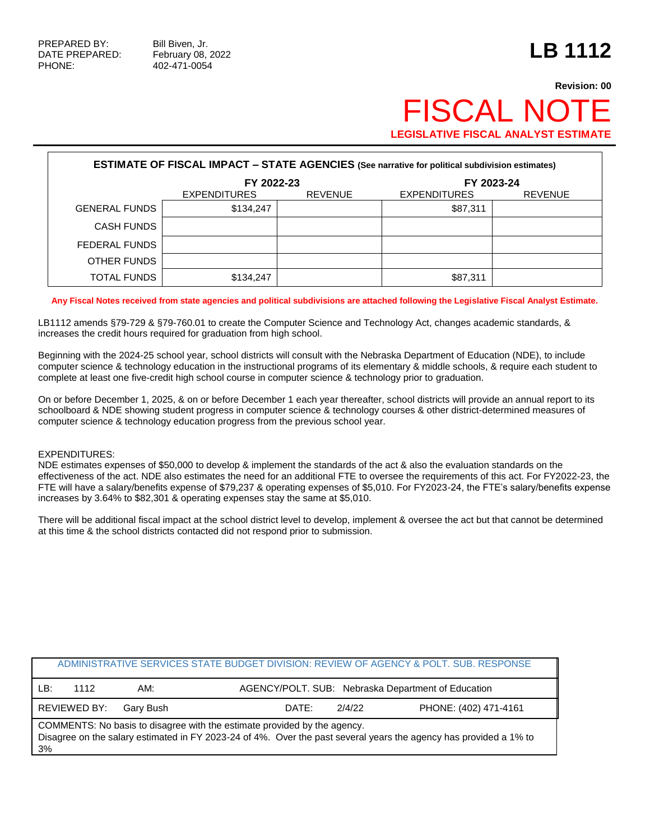PHONE: 402-471-0054

## **Revision: 00 FISCAL NOT LEGISLATIVE FISCAL ANALYST ESTIMATE**

| <b>ESTIMATE OF FISCAL IMPACT - STATE AGENCIES (See narrative for political subdivision estimates)</b> |                     |                |                     |                |  |  |
|-------------------------------------------------------------------------------------------------------|---------------------|----------------|---------------------|----------------|--|--|
|                                                                                                       | FY 2022-23          |                | FY 2023-24          |                |  |  |
|                                                                                                       | <b>EXPENDITURES</b> | <b>REVENUE</b> | <b>EXPENDITURES</b> | <b>REVENUE</b> |  |  |
| <b>GENERAL FUNDS</b>                                                                                  | \$134,247           |                | \$87,311            |                |  |  |
| <b>CASH FUNDS</b>                                                                                     |                     |                |                     |                |  |  |
| FEDERAL FUNDS                                                                                         |                     |                |                     |                |  |  |
| OTHER FUNDS                                                                                           |                     |                |                     |                |  |  |
| <b>TOTAL FUNDS</b>                                                                                    | \$134,247           |                | \$87,311            |                |  |  |

## **Any Fiscal Notes received from state agencies and political subdivisions are attached following the Legislative Fiscal Analyst Estimate.**

LB1112 amends §79-729 & §79-760.01 to create the Computer Science and Technology Act, changes academic standards, & increases the credit hours required for graduation from high school.

Beginning with the 2024-25 school year, school districts will consult with the Nebraska Department of Education (NDE), to include computer science & technology education in the instructional programs of its elementary & middle schools, & require each student to complete at least one five-credit high school course in computer science & technology prior to graduation.

On or before December 1, 2025, & on or before December 1 each year thereafter, school districts will provide an annual report to its schoolboard & NDE showing student progress in computer science & technology courses & other district-determined measures of computer science & technology education progress from the previous school year.

## EXPENDITURES:

NDE estimates expenses of \$50,000 to develop & implement the standards of the act & also the evaluation standards on the effectiveness of the act. NDE also estimates the need for an additional FTE to oversee the requirements of this act. For FY2022-23, the FTE will have a salary/benefits expense of \$79,237 & operating expenses of \$5,010. For FY2023-24, the FTE's salary/benefits expense increases by 3.64% to \$82,301 & operating expenses stay the same at \$5,010.

There will be additional fiscal impact at the school district level to develop, implement & oversee the act but that cannot be determined at this time & the school districts contacted did not respond prior to submission.

|                                                                                                                                                                                                     |                                                                   |           |                 | ADMINISTRATIVE SERVICES STATE BUDGET DIVISION: REVIEW OF AGENCY & POLT. SUB. RESPONSE |  |
|-----------------------------------------------------------------------------------------------------------------------------------------------------------------------------------------------------|-------------------------------------------------------------------|-----------|-----------------|---------------------------------------------------------------------------------------|--|
| LB:                                                                                                                                                                                                 | AGENCY/POLT. SUB: Nebraska Department of Education<br>AM:<br>1112 |           |                 |                                                                                       |  |
|                                                                                                                                                                                                     | REVIEWED BY:                                                      | Garv Bush | 2/4/22<br>DATE: | PHONE: (402) 471-4161                                                                 |  |
| COMMENTS: No basis to disagree with the estimate provided by the agency.<br>Disagree on the salary estimated in FY 2023-24 of 4%. Over the past several years the agency has provided a 1% to<br>3% |                                                                   |           |                 |                                                                                       |  |